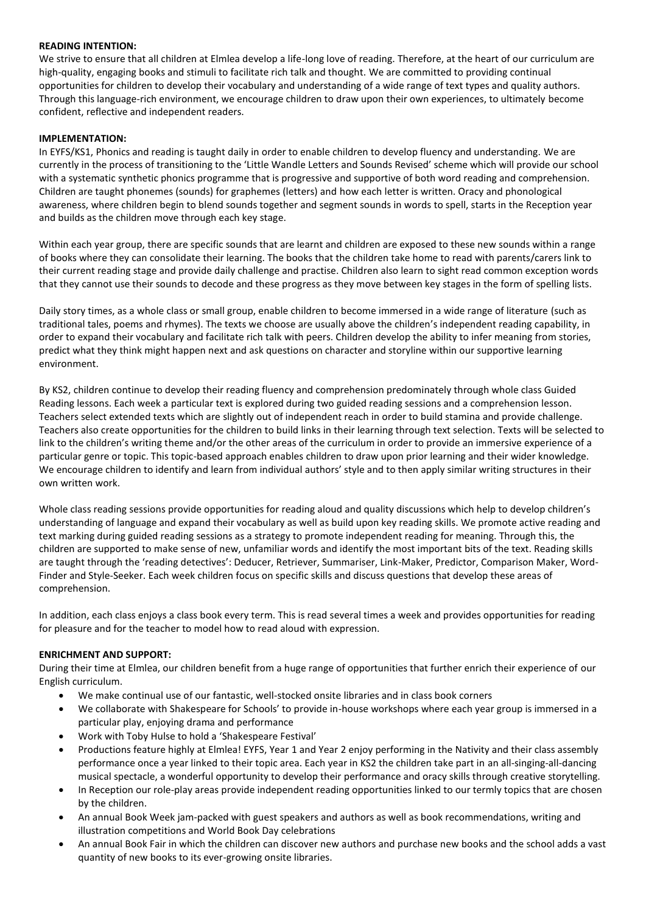## **READING INTENTION:**

We strive to ensure that all children at Elmlea develop a life-long love of reading. Therefore, at the heart of our curriculum are high-quality, engaging books and stimuli to facilitate rich talk and thought. We are committed to providing continual opportunities for children to develop their vocabulary and understanding of a wide range of text types and quality authors. Through this language-rich environment, we encourage children to draw upon their own experiences, to ultimately become confident, reflective and independent readers.

## **IMPLEMENTATION:**

In EYFS/KS1, Phonics and reading is taught daily in order to enable children to develop fluency and understanding. We are currently in the process of transitioning to the 'Little Wandle Letters and Sounds Revised' scheme which will provide our school with a systematic synthetic phonics programme that is progressive and supportive of both word reading and comprehension. Children are taught phonemes (sounds) for graphemes (letters) and how each letter is written. Oracy and phonological awareness, where children begin to blend sounds together and segment sounds in words to spell, starts in the Reception year and builds as the children move through each key stage. 

Within each year group, there are specific sounds that are learnt and children are exposed to these new sounds within a range of books where they can consolidate their learning. The books that the children take home to read with parents/carers link to their current reading stage and provide daily challenge and practise. Children also learn to sight read common exception words that they cannot use their sounds to decode and these progress as they move between key stages in the form of spelling lists.

Daily story times, as a whole class or small group, enable children to become immersed in a wide range of literature (such as traditional tales, poems and rhymes). The texts we choose are usually above the children's independent reading capability, in order to expand their vocabulary and facilitate rich talk with peers. Children develop the ability to infer meaning from stories, predict what they think might happen next and ask questions on character and storyline within our supportive learning environment. 

By KS2, children continue to develop their reading fluency and comprehension predominately through whole class Guided Reading lessons. Each week a particular text is explored during two guided reading sessions and a comprehension lesson. Teachers select extended texts which are slightly out of independent reach in order to build stamina and provide challenge. Teachers also create opportunities for the children to build links in their learning through text selection. Texts will be selected to link to the children's writing theme and/or the other areas of the curriculum in order to provide an immersive experience of a particular genre or topic. This topic-based approach enables children to draw upon prior learning and their wider knowledge. We encourage children to identify and learn from individual authors' style and to then apply similar writing structures in their own written work.

Whole class reading sessions provide opportunities for reading aloud and quality discussions which help to develop children's understanding of language and expand their vocabulary as well as build upon key reading skills. We promote active reading and text marking during guided reading sessions as a strategy to promote independent reading for meaning. Through this, the children are supported to make sense of new, unfamiliar words and identify the most important bits of the text. Reading skills are taught through the 'reading detectives': Deducer, Retriever, Summariser, Link-Maker, Predictor, Comparison Maker, Word-Finder and Style-Seeker. Each week children focus on specific skills and discuss questions that develop these areas of comprehension.

In addition, each class enjoys a class book every term. This is read several times a week and provides opportunities for reading for pleasure and for the teacher to model how to read aloud with expression.  

# **ENRICHMENT AND SUPPORT:**

During their time at Elmlea, our children benefit from a huge range of opportunities that further enrich their experience of our English curriculum.

- We make continual use of our fantastic, well-stocked onsite libraries and in class book corners
- We collaborate with Shakespeare for Schools' to provide in-house workshops where each year group is immersed in a particular play, enjoying drama and performance
- Work with Toby Hulse to hold a 'Shakespeare Festival'
- Productions feature highly at Elmlea! EYFS, Year 1 and Year 2 enjoy performing in the Nativity and their class assembly performance once a year linked to their topic area. Each year in KS2 the children take part in an all-singing-all-dancing musical spectacle, a wonderful opportunity to develop their performance and oracy skills through creative storytelling.
- In Reception our role-play areas provide independent reading opportunities linked to our termly topics that are chosen by the children.
- An annual Book Week jam-packed with guest speakers and authors as well as book recommendations, writing and illustration competitions and World Book Day celebrations
- An annual Book Fair in which the children can discover new authors and purchase new books and the school adds a vast quantity of new books to its ever-growing onsite libraries.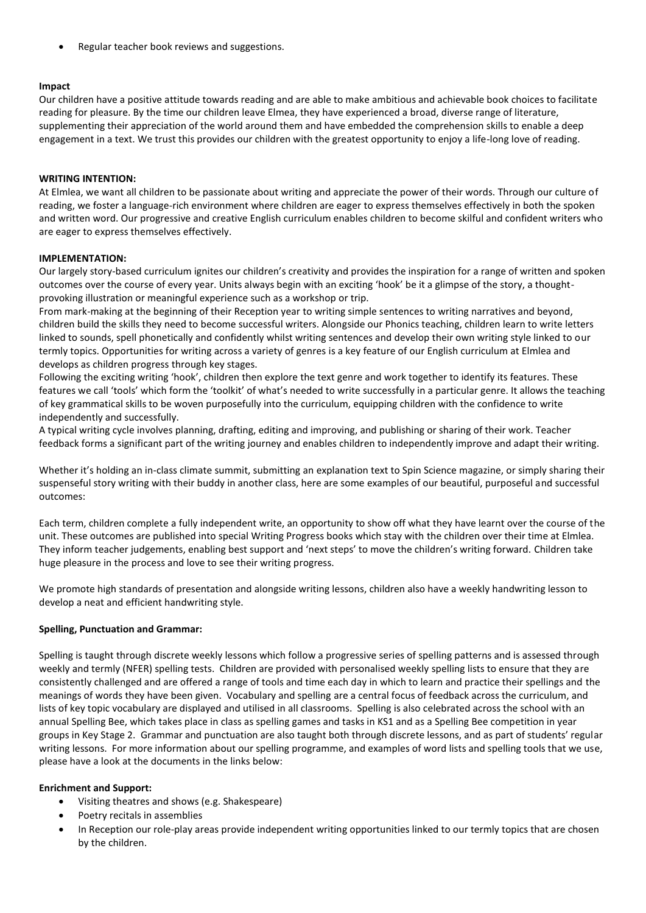• Regular teacher book reviews and suggestions.

### **Impact**

Our children have a positive attitude towards reading and are able to make ambitious and achievable book choices to facilitate reading for pleasure. By the time our children leave Elmea, they have experienced a broad, diverse range of literature, supplementing their appreciation of the world around them and have embedded the comprehension skills to enable a deep engagement in a text. We trust this provides our children with the greatest opportunity to enjoy a life-long love of reading.

### **WRITING INTENTION:**

At Elmlea, we want all children to be passionate about writing and appreciate the power of their words. Through our culture of reading, we foster a language-rich environment where children are eager to express themselves effectively in both the spoken and written word. Our progressive and creative English curriculum enables children to become skilful and confident writers who are eager to express themselves effectively.

#### **IMPLEMENTATION:**

Our largely story-based curriculum ignites our children's creativity and provides the inspiration for a range of written and spoken outcomes over the course of every year. Units always begin with an exciting 'hook' be it a glimpse of the story, a thoughtprovoking illustration or meaningful experience such as a workshop or trip.

From mark-making at the beginning of their Reception year to writing simple sentences to writing narratives and beyond, children build the skills they need to become successful writers. Alongside our Phonics teaching, children learn to write letters linked to sounds, spell phonetically and confidently whilst writing sentences and develop their own writing style linked to our termly topics. Opportunities for writing across a variety of genres is a key feature of our English curriculum at Elmlea and develops as children progress through key stages.

Following the exciting writing 'hook', children then explore the text genre and work together to identify its features. These features we call 'tools' which form the 'toolkit' of what's needed to write successfully in a particular genre. It allows the teaching of key grammatical skills to be woven purposefully into the curriculum, equipping children with the confidence to write independently and successfully.

A typical writing cycle involves planning, drafting, editing and improving, and publishing or sharing of their work. Teacher feedback forms a significant part of the writing journey and enables children to independently improve and adapt their writing.

Whether it's holding an in-class climate summit, submitting an explanation text to Spin Science magazine, or simply sharing their suspenseful story writing with their buddy in another class, here are some examples of our beautiful, purposeful and successful outcomes:

Each term, children complete a fully independent write, an opportunity to show off what they have learnt over the course of the unit. These outcomes are published into special Writing Progress books which stay with the children over their time at Elmlea. They inform teacher judgements, enabling best support and 'next steps' to move the children's writing forward. Children take huge pleasure in the process and love to see their writing progress.

We promote high standards of presentation and alongside writing lessons, children also have a weekly handwriting lesson to develop a neat and efficient handwriting style. 

### **Spelling, Punctuation and Grammar:**

Spelling is taught through discrete weekly lessons which follow a progressive series of spelling patterns and is assessed through weekly and termly (NFER) spelling tests.  Children are provided with personalised weekly spelling lists to ensure that they are consistently challenged and are offered a range of tools and time each day in which to learn and practice their spellings and the meanings of words they have been given.  Vocabulary and spelling are a central focus of feedback across the curriculum, and lists of key topic vocabulary are displayed and utilised in all classrooms.  Spelling is also celebrated across the school with an annual Spelling Bee, which takes place in class as spelling games and tasks in KS1 and as a Spelling Bee competition in year groups in Key Stage 2.  Grammar and punctuation are also taught both through discrete lessons, and as part of students' regular writing lessons.  For more information about our spelling programme, and examples of word lists and spelling tools that we use, please have a look at the documents in the links below: 

### **Enrichment and Support:**

- Visiting theatres and shows (e.g. Shakespeare)
- Poetry recitals in assemblies
- In Reception our role-play areas provide independent writing opportunities linked to our termly topics that are chosen by the children.